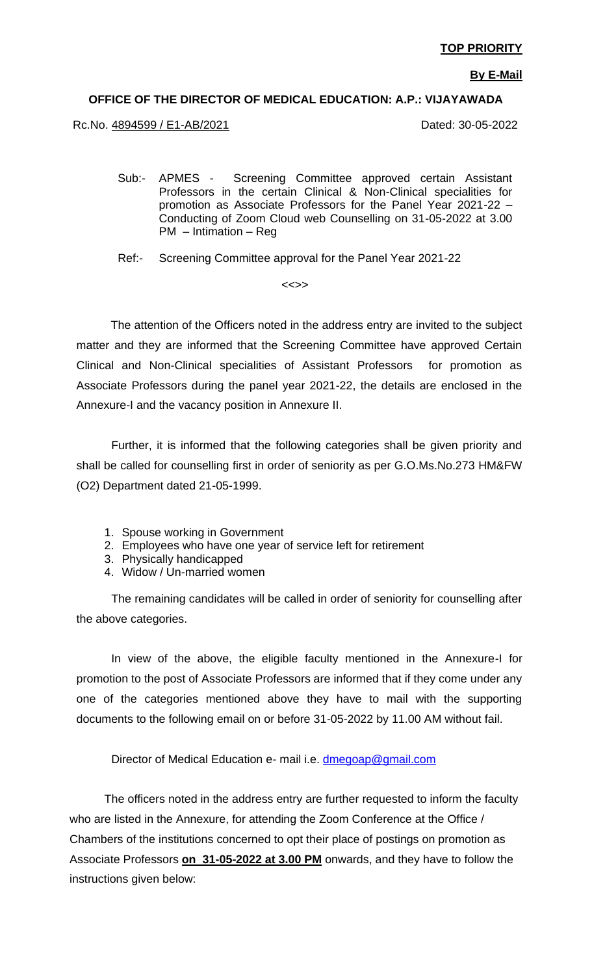**By E-Mail**

#### **OFFICE OF THE DIRECTOR OF MEDICAL EDUCATION: A.P.: VIJAYAWADA**

Rc.No. 4894599 / E1-AB/2021 2000 2000 2000 2000 2010 Dated: 30-05-2022

Sub:- APMES - Screening Committee approved certain Assistant Professors in the certain Clinical & Non-Clinical specialities for promotion as Associate Professors for the Panel Year 2021-22 – Conducting of Zoom Cloud web Counselling on 31-05-2022 at 3.00 PM – Intimation – Reg

Ref:- Screening Committee approval for the Panel Year 2021-22

<<>>

 The attention of the Officers noted in the address entry are invited to the subject matter and they are informed that the Screening Committee have approved Certain Clinical and Non-Clinical specialities of Assistant Professors for promotion as Associate Professors during the panel year 2021-22, the details are enclosed in the Annexure-I and the vacancy position in Annexure II.

Further, it is informed that the following categories shall be given priority and shall be called for counselling first in order of seniority as per G.O.Ms.No.273 HM&FW (O2) Department dated 21-05-1999.

- 1. Spouse working in Government
- 2. Employees who have one year of service left for retirement
- 3. Physically handicapped
- 4. Widow / Un-married women

The remaining candidates will be called in order of seniority for counselling after the above categories.

In view of the above, the eligible faculty mentioned in the Annexure-I for promotion to the post of Associate Professors are informed that if they come under any one of the categories mentioned above they have to mail with the supporting documents to the following email on or before 31-05-2022 by 11.00 AM without fail.

Director of Medical Education e- mail i.e. [dmegoap@gmail.com](mailto:dmegoap@gmail.com)

The officers noted in the address entry are further requested to inform the faculty who are listed in the Annexure, for attending the Zoom Conference at the Office / Chambers of the institutions concerned to opt their place of postings on promotion as Associate Professors **on 31-05-2022 at 3.00 PM** onwards, and they have to follow the instructions given below: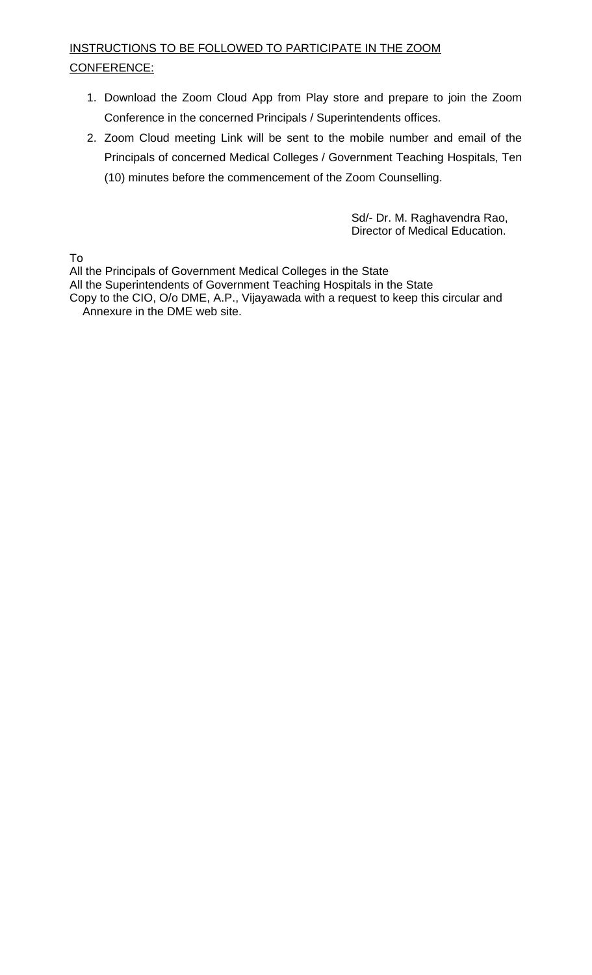#### INSTRUCTIONS TO BE FOLLOWED TO PARTICIPATE IN THE ZOOM CONFERENCE:

- 1. Download the Zoom Cloud App from Play store and prepare to join the Zoom Conference in the concerned Principals / Superintendents offices.
- 2. Zoom Cloud meeting Link will be sent to the mobile number and email of the Principals of concerned Medical Colleges / Government Teaching Hospitals, Ten (10) minutes before the commencement of the Zoom Counselling.

Sd/- Dr. M. Raghavendra Rao, Director of Medical Education.

To

All the Principals of Government Medical Colleges in the State

All the Superintendents of Government Teaching Hospitals in the State

Copy to the CIO, O/o DME, A.P., Vijayawada with a request to keep this circular and Annexure in the DME web site.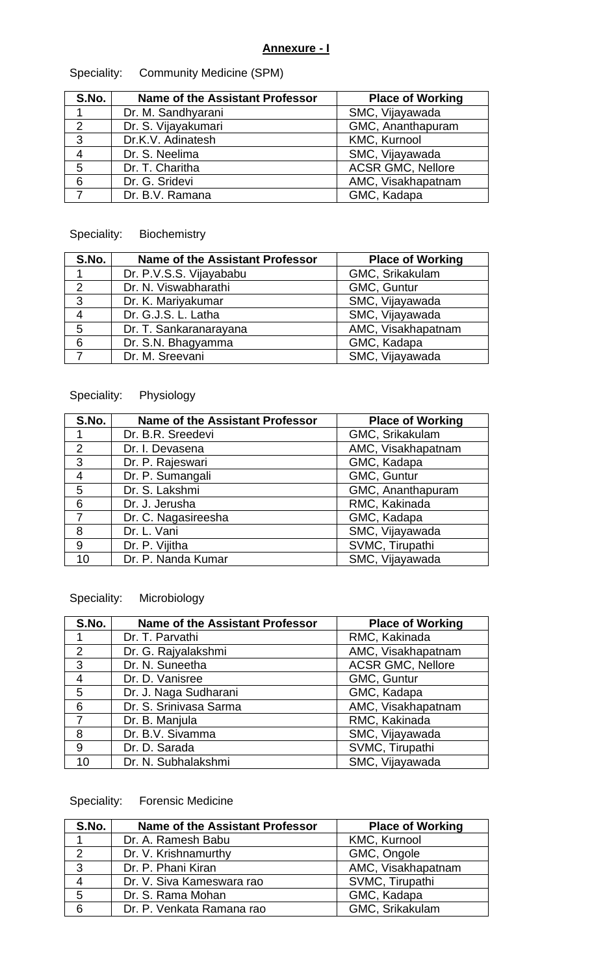### **Annexure - I**

| S.No.          | <b>Name of the Assistant Professor</b> | <b>Place of Working</b>  |
|----------------|----------------------------------------|--------------------------|
| 1              | Dr. M. Sandhyarani                     | SMC, Vijayawada          |
| 2              | Dr. S. Vijayakumari                    | GMC, Ananthapuram        |
| 3              | Dr.K.V. Adinatesh                      | KMC, Kurnool             |
| $\overline{4}$ | Dr. S. Neelima                         | SMC, Vijayawada          |
| 5              | Dr. T. Charitha                        | <b>ACSR GMC, Nellore</b> |
| 6              | Dr. G. Sridevi                         | AMC, Visakhapatnam       |
|                | Dr. B.V. Ramana                        | GMC, Kadapa              |

## Speciality: Community Medicine (SPM)

## Speciality: Biochemistry

| S.No.          | <b>Name of the Assistant Professor</b> | <b>Place of Working</b> |
|----------------|----------------------------------------|-------------------------|
|                | Dr. P.V.S.S. Vijayababu                | GMC, Srikakulam         |
| $\mathcal{P}$  | Dr. N. Viswabharathi                   | GMC, Guntur             |
| 3              | Dr. K. Mariyakumar                     | SMC, Vijayawada         |
| $\overline{4}$ | Dr. G.J.S. L. Latha                    | SMC, Vijayawada         |
| 5              | Dr. T. Sankaranarayana                 | AMC, Visakhapatnam      |
| 6              | Dr. S.N. Bhagyamma                     | GMC, Kadapa             |
|                | Dr. M. Sreevani                        | SMC, Vijayawada         |

### Speciality: Physiology

| S.No.          | <b>Name of the Assistant Professor</b> | <b>Place of Working</b> |
|----------------|----------------------------------------|-------------------------|
|                | Dr. B.R. Sreedevi                      | GMC, Srikakulam         |
| 2              | Dr. I. Devasena                        | AMC, Visakhapatnam      |
| 3              | Dr. P. Rajeswari                       | GMC, Kadapa             |
| $\overline{4}$ | Dr. P. Sumangali                       | GMC, Guntur             |
| 5              | Dr. S. Lakshmi                         | GMC, Ananthapuram       |
| 6              | Dr. J. Jerusha                         | RMC, Kakinada           |
| 7              | Dr. C. Nagasireesha                    | GMC, Kadapa             |
| 8              | Dr. L. Vani                            | SMC, Vijayawada         |
| 9              | Dr. P. Vijitha                         | SVMC, Tirupathi         |
| 10             | Dr. P. Nanda Kumar                     | SMC, Vijayawada         |

# Speciality: Microbiology

| S.No.          | <b>Name of the Assistant Professor</b> | <b>Place of Working</b>  |
|----------------|----------------------------------------|--------------------------|
|                | Dr. T. Parvathi                        | RMC, Kakinada            |
| 2              | Dr. G. Rajyalakshmi                    | AMC, Visakhapatnam       |
| 3              | Dr. N. Suneetha                        | <b>ACSR GMC, Nellore</b> |
| $\overline{4}$ | Dr. D. Vanisree                        | GMC, Guntur              |
| 5              | Dr. J. Naga Sudharani                  | GMC, Kadapa              |
| 6              | Dr. S. Srinivasa Sarma                 | AMC, Visakhapatnam       |
| 7              | Dr. B. Manjula                         | RMC, Kakinada            |
| 8              | Dr. B.V. Sivamma                       | SMC, Vijayawada          |
| 9              | Dr. D. Sarada                          | SVMC, Tirupathi          |
| 10             | Dr. N. Subhalakshmi                    | SMC, Vijayawada          |

## Speciality: Forensic Medicine

| S.No.          | <b>Name of the Assistant Professor</b> | <b>Place of Working</b> |
|----------------|----------------------------------------|-------------------------|
|                | Dr. A. Ramesh Babu                     | <b>KMC, Kurnool</b>     |
| 2              | Dr. V. Krishnamurthy                   | GMC, Ongole             |
| 3              | Dr. P. Phani Kiran                     | AMC, Visakhapatnam      |
| $\overline{4}$ | Dr. V. Siva Kameswara rao              | SVMC, Tirupathi         |
| 5              | Dr. S. Rama Mohan                      | GMC, Kadapa             |
| 6              | Dr. P. Venkata Ramana rao              | GMC, Srikakulam         |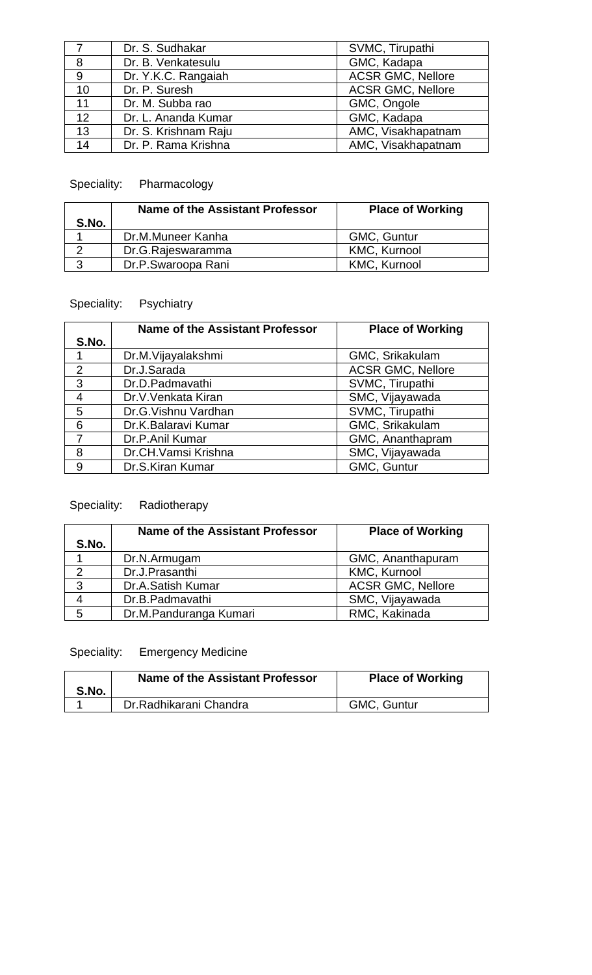|                | Dr. S. Sudhakar      | SVMC, Tirupathi          |
|----------------|----------------------|--------------------------|
| 8              | Dr. B. Venkatesulu   | GMC, Kadapa              |
| $\overline{9}$ | Dr. Y.K.C. Rangaiah  | <b>ACSR GMC, Nellore</b> |
| 10             | Dr. P. Suresh        | <b>ACSR GMC, Nellore</b> |
| 11             | Dr. M. Subba rao     | GMC, Ongole              |
| 12             | Dr. L. Ananda Kumar  | GMC, Kadapa              |
| 13             | Dr. S. Krishnam Raju | AMC, Visakhapatnam       |
| 14             | Dr. P. Rama Krishna  | AMC, Visakhapatnam       |

## Speciality: Pharmacology

| S.No. | Name of the Assistant Professor | <b>Place of Working</b> |
|-------|---------------------------------|-------------------------|
|       | Dr.M.Muneer Kanha               | GMC, Guntur             |
|       | Dr.G.Rajeswaramma               | <b>KMC, Kurnool</b>     |
| ્ર    | Dr.P.Swaroopa Rani              | <b>KMC, Kurnool</b>     |

# Speciality: Psychiatry

|                | <b>Name of the Assistant Professor</b> | <b>Place of Working</b>  |
|----------------|----------------------------------------|--------------------------|
| S.No.          |                                        |                          |
|                | Dr.M.Vijayalakshmi                     | GMC, Srikakulam          |
| 2              | Dr.J.Sarada                            | <b>ACSR GMC, Nellore</b> |
| 3              | Dr.D.Padmavathi                        | SVMC, Tirupathi          |
| $\overline{4}$ | Dr.V.Venkata Kiran                     | SMC, Vijayawada          |
| 5              | Dr.G. Vishnu Vardhan                   | SVMC, Tirupathi          |
| 6              | Dr.K.Balaravi Kumar                    | GMC, Srikakulam          |
| $\overline{7}$ | Dr.P.Anil Kumar                        | GMC, Ananthapram         |
| 8              | Dr.CH.Vamsi Krishna                    | SMC, Vijayawada          |
| 9              | Dr.S.Kiran Kumar                       | GMC, Guntur              |

# Speciality: Radiotherapy

|               | <b>Name of the Assistant Professor</b> | <b>Place of Working</b>  |
|---------------|----------------------------------------|--------------------------|
| S.No.         |                                        |                          |
|               | Dr.N.Armugam                           | GMC, Ananthapuram        |
| $\mathcal{D}$ | Dr.J.Prasanthi                         | <b>KMC, Kurnool</b>      |
| 3             | Dr.A.Satish Kumar                      | <b>ACSR GMC, Nellore</b> |
|               | Dr.B.Padmavathi                        | SMC, Vijayawada          |
| 5             | Dr.M.Panduranga Kumari                 | RMC, Kakinada            |

# Speciality: Emergency Medicine

| S.No. | Name of the Assistant Professor | <b>Place of Working</b> |
|-------|---------------------------------|-------------------------|
|       | Dr. Radhikarani Chandra         | GMC, Guntur             |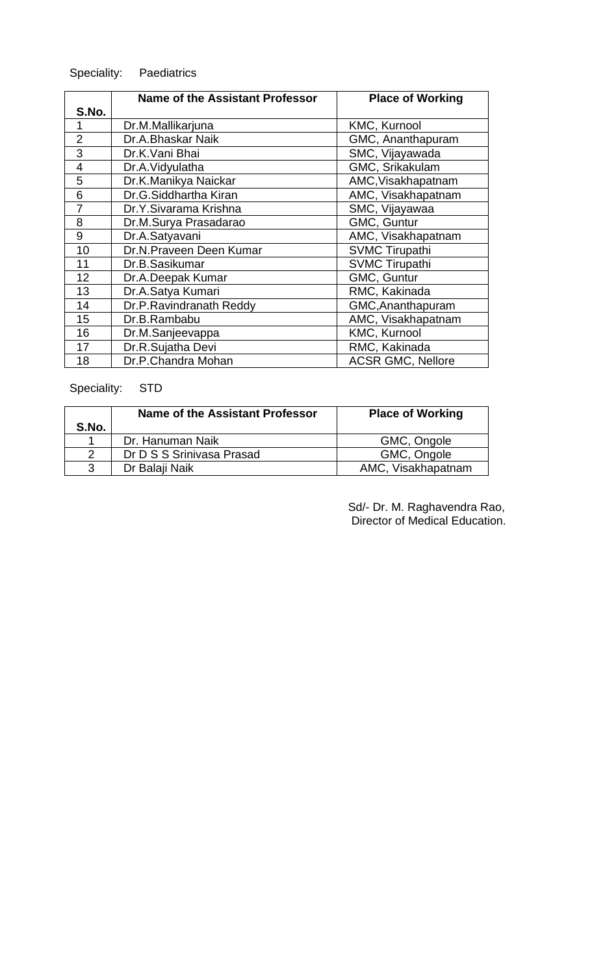## Speciality: Paediatrics

|                | <b>Name of the Assistant Professor</b> | <b>Place of Working</b>  |
|----------------|----------------------------------------|--------------------------|
| S.No.          |                                        |                          |
|                | Dr.M.Mallikarjuna                      | <b>KMC, Kurnool</b>      |
| $\overline{2}$ | Dr.A.Bhaskar Naik                      | GMC, Ananthapuram        |
| 3              | Dr.K.Vani Bhai                         | SMC, Vijayawada          |
| $\overline{4}$ | Dr.A.Vidyulatha                        | GMC, Srikakulam          |
| 5              | Dr.K.Manikya Naickar                   | AMC, Visakhapatnam       |
| 6              | Dr.G.Siddhartha Kiran                  | AMC, Visakhapatnam       |
| 7              | Dr.Y.Sivarama Krishna                  | SMC, Vijayawaa           |
| 8              | Dr.M.Surya Prasadarao                  | GMC, Guntur              |
| 9              | Dr.A.Satyavani                         | AMC, Visakhapatnam       |
| 10             | Dr.N.Praveen Deen Kumar                | <b>SVMC Tirupathi</b>    |
| 11             | Dr.B.Sasikumar                         | <b>SVMC Tirupathi</b>    |
| 12             | Dr.A.Deepak Kumar                      | GMC, Guntur              |
| 13             | Dr.A.Satya Kumari                      | RMC, Kakinada            |
| 14             | Dr.P.Ravindranath Reddy                | GMC, Ananthapuram        |
| 15             | Dr.B.Rambabu                           | AMC, Visakhapatnam       |
| 16             | Dr.M.Sanjeevappa                       | KMC, Kurnool             |
| 17             | Dr.R.Sujatha Devi                      | RMC, Kakinada            |
| 18             | Dr.P.Chandra Mohan                     | <b>ACSR GMC, Nellore</b> |

## Speciality: STD

|               | Name of the Assistant Professor | <b>Place of Working</b> |
|---------------|---------------------------------|-------------------------|
| S.No.         |                                 |                         |
|               | Dr. Hanuman Naik                | GMC, Ongole             |
| $\mathcal{P}$ | Dr D S S Srinivasa Prasad       | GMC, Ongole             |
| 3             | Dr Balaji Naik                  | AMC, Visakhapatnam      |

Sd/- Dr. M. Raghavendra Rao, Director of Medical Education.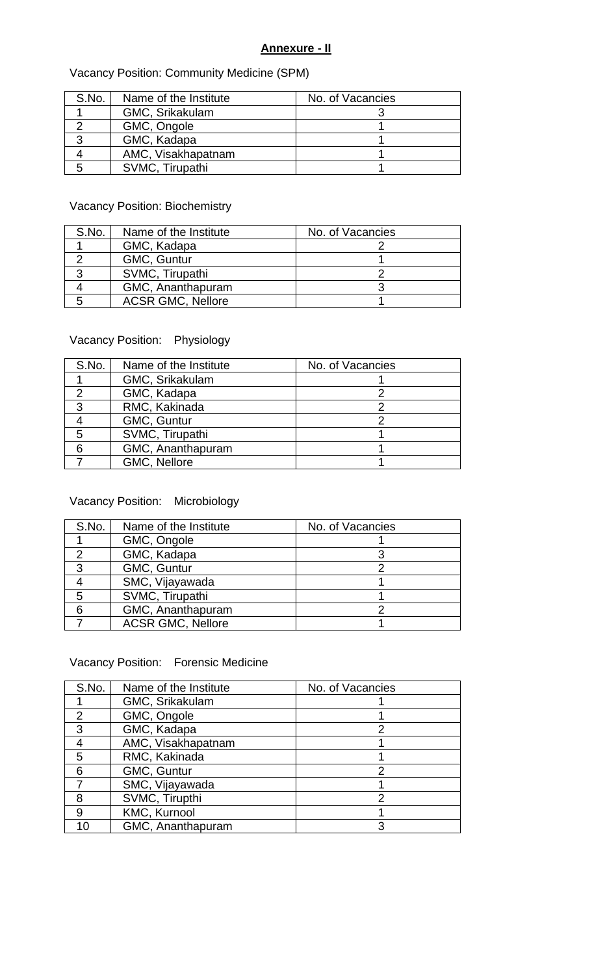#### **Annexure - II**

### Vacancy Position: Community Medicine (SPM)

| S.No. | Name of the Institute | No. of Vacancies |
|-------|-----------------------|------------------|
|       | GMC, Srikakulam       |                  |
|       | GMC, Ongole           |                  |
|       | GMC, Kadapa           |                  |
|       | AMC, Visakhapatnam    |                  |
|       | SVMC, Tirupathi       |                  |

#### Vacancy Position: Biochemistry

| S.No. | Name of the Institute    | No. of Vacancies |
|-------|--------------------------|------------------|
|       | GMC, Kadapa              |                  |
|       | GMC, Guntur              |                  |
|       | SVMC, Tirupathi          |                  |
|       | GMC, Ananthapuram        |                  |
| 5     | <b>ACSR GMC, Nellore</b> |                  |

### Vacancy Position: Physiology

| S.No. | Name of the Institute | No. of Vacancies |
|-------|-----------------------|------------------|
|       | GMC, Srikakulam       |                  |
|       | GMC, Kadapa           |                  |
| 3     | RMC, Kakinada         |                  |
|       | GMC, Guntur           |                  |
| 5     | SVMC, Tirupathi       |                  |
|       | GMC, Ananthapuram     |                  |
|       | GMC, Nellore          |                  |

#### Vacancy Position: Microbiology

| S.No. | Name of the Institute    | No. of Vacancies |
|-------|--------------------------|------------------|
|       | GMC, Ongole              |                  |
| റ     | GMC, Kadapa              |                  |
| 3     | GMC, Guntur              |                  |
|       | SMC, Vijayawada          |                  |
| 5     | SVMC, Tirupathi          |                  |
|       | GMC, Ananthapuram        |                  |
|       | <b>ACSR GMC, Nellore</b> |                  |

## Vacancy Position: Forensic Medicine

| S.No. | Name of the Institute | No. of Vacancies |
|-------|-----------------------|------------------|
|       | GMC, Srikakulam       |                  |
| 2     | GMC, Ongole           |                  |
| 3     | GMC, Kadapa           |                  |
|       | AMC, Visakhapatnam    |                  |
| 5     | RMC, Kakinada         |                  |
| 6     | GMC, Guntur           |                  |
|       | SMC, Vijayawada       |                  |
| я     | SVMC, Tirupthi        | っ                |
| 9     | KMC, Kurnool          |                  |
| 10    | GMC, Ananthapuram     |                  |